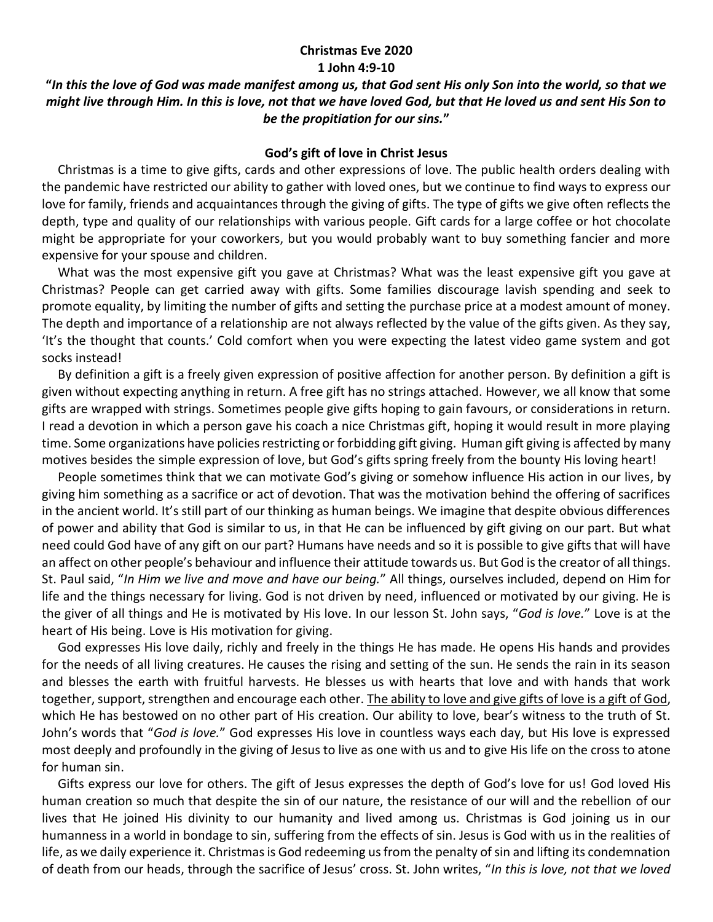## **Christmas Eve 2020 1 John 4:9-10**

## **"***In this the love of God was made manifest among us, that God sent His only Son into the world, so that we might live through Him. In this is love, not that we have loved God, but that He loved us and sent His Son to be the propitiation for our sins.***"**

## **God's gift of love in Christ Jesus**

 Christmas is a time to give gifts, cards and other expressions of love. The public health orders dealing with the pandemic have restricted our ability to gather with loved ones, but we continue to find ways to express our love for family, friends and acquaintances through the giving of gifts. The type of gifts we give often reflects the depth, type and quality of our relationships with various people. Gift cards for a large coffee or hot chocolate might be appropriate for your coworkers, but you would probably want to buy something fancier and more expensive for your spouse and children.

 What was the most expensive gift you gave at Christmas? What was the least expensive gift you gave at Christmas? People can get carried away with gifts. Some families discourage lavish spending and seek to promote equality, by limiting the number of gifts and setting the purchase price at a modest amount of money. The depth and importance of a relationship are not always reflected by the value of the gifts given. As they say, 'It's the thought that counts.' Cold comfort when you were expecting the latest video game system and got socks instead!

 By definition a gift is a freely given expression of positive affection for another person. By definition a gift is given without expecting anything in return. A free gift has no strings attached. However, we all know that some gifts are wrapped with strings. Sometimes people give gifts hoping to gain favours, or considerations in return. I read a devotion in which a person gave his coach a nice Christmas gift, hoping it would result in more playing time. Some organizations have policies restricting or forbidding gift giving. Human gift giving is affected by many motives besides the simple expression of love, but God's gifts spring freely from the bounty His loving heart!

 People sometimes think that we can motivate God's giving or somehow influence His action in our lives, by giving him something as a sacrifice or act of devotion. That was the motivation behind the offering of sacrifices in the ancient world. It's still part of our thinking as human beings. We imagine that despite obvious differences of power and ability that God is similar to us, in that He can be influenced by gift giving on our part. But what need could God have of any gift on our part? Humans have needs and so it is possible to give gifts that will have an affect on other people's behaviour and influence their attitude towards us. But God is the creator of all things. St. Paul said, "*In Him we live and move and have our being.*" All things, ourselves included, depend on Him for life and the things necessary for living. God is not driven by need, influenced or motivated by our giving. He is the giver of all things and He is motivated by His love. In our lesson St. John says, "*God is love.*" Love is at the heart of His being. Love is His motivation for giving.

 God expresses His love daily, richly and freely in the things He has made. He opens His hands and provides for the needs of all living creatures. He causes the rising and setting of the sun. He sends the rain in its season and blesses the earth with fruitful harvests. He blesses us with hearts that love and with hands that work together, support, strengthen and encourage each other. The ability to love and give gifts of love is a gift of God, which He has bestowed on no other part of His creation. Our ability to love, bear's witness to the truth of St. John's words that "*God is love.*" God expresses His love in countless ways each day, but His love is expressed most deeply and profoundly in the giving of Jesus to live as one with us and to give His life on the cross to atone for human sin.

 Gifts express our love for others. The gift of Jesus expresses the depth of God's love for us! God loved His human creation so much that despite the sin of our nature, the resistance of our will and the rebellion of our lives that He joined His divinity to our humanity and lived among us. Christmas is God joining us in our humanness in a world in bondage to sin, suffering from the effects of sin. Jesus is God with us in the realities of life, as we daily experience it. Christmas is God redeeming us from the penalty of sin and lifting its condemnation of death from our heads, through the sacrifice of Jesus' cross. St. John writes, "*In this is love, not that we loved*